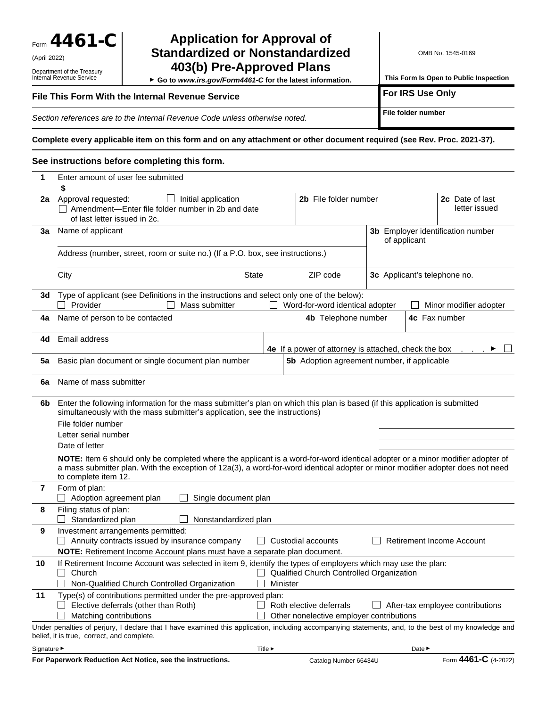Form 4461-C

(April 2022)

Department of the Treasury Internal Revenue Service

## **Application for Approval of Standardized or Nonstandardized 403(b) Pre-Approved Plans**

 **Go to** *www.irs.gov/Form4461-C* **for the latest information.**

OMB No. 1545-0169

**This Form Is Open to Public Inspection** 

## **File This Form With the Internal Revenue Service <b>All Conventions Conventions** For IRS Use Only

**Section references are to the Internal Revenue Code unless otherwise noted. File folder number** 

**Complete every applicable item on this form and on any attachment or other document required (see Rev. Proc. 2021-37).**

#### **See instructions before completing this form.**

| 1         | Enter amount of user fee submitted                                                                                                                                                                                                                                                      |          |                                                      |  |                                                   |  |  |
|-----------|-----------------------------------------------------------------------------------------------------------------------------------------------------------------------------------------------------------------------------------------------------------------------------------------|----------|------------------------------------------------------|--|---------------------------------------------------|--|--|
| 2a        | Approval requested:<br>Initial application<br>$\overline{\phantom{0}}$<br>$\Box$ Amendment-Enter file folder number in 2b and date<br>of last letter issued in 2c.                                                                                                                      |          | 2b File folder number                                |  | 2c Date of last<br>letter issued                  |  |  |
| Зa        | Name of applicant                                                                                                                                                                                                                                                                       |          |                                                      |  | 3b Employer identification number<br>of applicant |  |  |
|           | Address (number, street, room or suite no.) (If a P.O. box, see instructions.)                                                                                                                                                                                                          |          |                                                      |  |                                                   |  |  |
|           | City<br><b>State</b>                                                                                                                                                                                                                                                                    |          | ZIP code                                             |  | 3c Applicant's telephone no.                      |  |  |
| 3d        | Type of applicant (see Definitions in the instructions and select only one of the below):<br>Provider<br>Mass submitter                                                                                                                                                                 |          | Word-for-word identical adopter                      |  | Minor modifier adopter                            |  |  |
| 4a        | Name of person to be contacted                                                                                                                                                                                                                                                          |          | 4b Telephone number                                  |  | 4c Fax number                                     |  |  |
| 4d        | Email address                                                                                                                                                                                                                                                                           |          | 4e If a power of attorney is attached, check the box |  |                                                   |  |  |
| 5a        | Basic plan document or single document plan number                                                                                                                                                                                                                                      |          | 5b Adoption agreement number, if applicable          |  |                                                   |  |  |
| 6a        | Name of mass submitter                                                                                                                                                                                                                                                                  |          |                                                      |  |                                                   |  |  |
| 6b        | Enter the following information for the mass submitter's plan on which this plan is based (if this application is submitted<br>simultaneously with the mass submitter's application, see the instructions)                                                                              |          |                                                      |  |                                                   |  |  |
|           | File folder number                                                                                                                                                                                                                                                                      |          |                                                      |  |                                                   |  |  |
|           | Letter serial number                                                                                                                                                                                                                                                                    |          |                                                      |  |                                                   |  |  |
|           | Date of letter                                                                                                                                                                                                                                                                          |          |                                                      |  |                                                   |  |  |
|           | NOTE: Item 6 should only be completed where the applicant is a word-for-word identical adopter or a minor modifier adopter of<br>a mass submitter plan. With the exception of 12a(3), a word-for-word identical adopter or minor modifier adopter does not need<br>to complete item 12. |          |                                                      |  |                                                   |  |  |
| 7         | Form of plan:<br>Adoption agreement plan<br>Single document plan                                                                                                                                                                                                                        |          |                                                      |  |                                                   |  |  |
| 8         | Filing status of plan:<br>Standardized plan<br>Nonstandardized plan                                                                                                                                                                                                                     |          |                                                      |  |                                                   |  |  |
| 9         | Investment arrangements permitted:<br>Annuity contracts issued by insurance company<br>NOTE: Retirement Income Account plans must have a separate plan document.                                                                                                                        |          | $\Box$ Custodial accounts                            |  | <b>Retirement Income Account</b>                  |  |  |
| 10        | If Retirement Income Account was selected in item 9, identify the types of employers which may use the plan:<br>Church<br>Non-Qualified Church Controlled Organization                                                                                                                  | Minister | Qualified Church Controlled Organization             |  |                                                   |  |  |
| 11        | Type(s) of contributions permitted under the pre-approved plan:<br>Elective deferrals (other than Roth)                                                                                                                                                                                 |          | Roth elective deferrals                              |  | After-tax employee contributions                  |  |  |
|           | Matching contributions                                                                                                                                                                                                                                                                  |          | Other nonelective employer contributions             |  |                                                   |  |  |
|           | Under penalties of perjury, I declare that I have examined this application, including accompanying statements, and, to the best of my knowledge and<br>belief, it is true, correct, and complete.                                                                                      |          |                                                      |  |                                                   |  |  |
| Signature | Title                                                                                                                                                                                                                                                                                   |          |                                                      |  | Date                                              |  |  |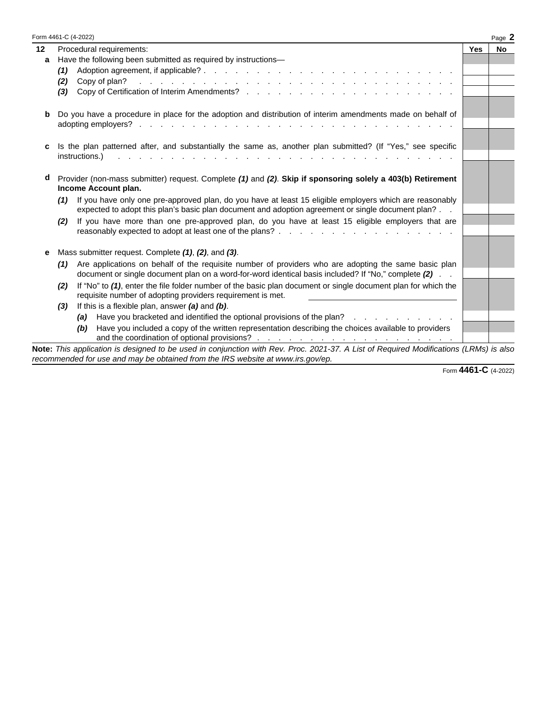|         | Form 4461-C (4-2022)                                                                                                                                                                                                                                  |     | Page 2    |  |  |
|---------|-------------------------------------------------------------------------------------------------------------------------------------------------------------------------------------------------------------------------------------------------------|-----|-----------|--|--|
| $12 \,$ | Procedural requirements:                                                                                                                                                                                                                              | Yes | <b>No</b> |  |  |
| a       | Have the following been submitted as required by instructions-                                                                                                                                                                                        |     |           |  |  |
|         | (1)                                                                                                                                                                                                                                                   |     |           |  |  |
|         | والمتعاون والمتعاون والمتعاون والمتعاون والمتعاون والمتعاون والمتعاون والمتعاون والمتعاون والمتعاون<br>Copy of plan?<br>(2)                                                                                                                           |     |           |  |  |
|         | (3)                                                                                                                                                                                                                                                   |     |           |  |  |
| b       | Do you have a procedure in place for the adoption and distribution of interim amendments made on behalf of                                                                                                                                            |     |           |  |  |
|         | adopting employers?<br>and the contract of the contract of the contract of the contract of the contract of the contract of the contract of the contract of the contract of the contract of the contract of the contract of the contract of the contra |     |           |  |  |
| c       | Is the plan patterned after, and substantially the same as, another plan submitted? (If "Yes," see specific<br>instructions.)<br>and the state of the state of the state of the                                                                       |     |           |  |  |
| d       | Provider (non-mass submitter) request. Complete (1) and (2). Skip if sponsoring solely a 403(b) Retirement<br>Income Account plan.                                                                                                                    |     |           |  |  |
|         | If you have only one pre-approved plan, do you have at least 15 eligible employers which are reasonably<br>(1)<br>expected to adopt this plan's basic plan document and adoption agreement or single document plan?                                   |     |           |  |  |
|         | If you have more than one pre-approved plan, do you have at least 15 eligible employers that are<br>(2)                                                                                                                                               |     |           |  |  |
| е       | Mass submitter request. Complete (1), (2), and (3).                                                                                                                                                                                                   |     |           |  |  |
|         | Are applications on behalf of the requisite number of providers who are adopting the same basic plan<br>(1)<br>document or single document plan on a word-for-word identical basis included? If "No," complete (2)                                    |     |           |  |  |
|         | If "No" to (1), enter the file folder number of the basic plan document or single document plan for which the<br>(2)<br>requisite number of adopting providers requirement is met.                                                                    |     |           |  |  |
|         | If this is a flexible plan, answer $(a)$ and $(b)$ .<br>(3)                                                                                                                                                                                           |     |           |  |  |
|         | Have you bracketed and identified the optional provisions of the plan?<br>the contract of the contract of the<br>(a)                                                                                                                                  |     |           |  |  |
|         | Have you included a copy of the written representation describing the choices available to providers<br>(b)                                                                                                                                           |     |           |  |  |
|         | Note: This application is designed to be used in conjunction with Rev. Proc. 2021-37. A List of Required Modifications (LRMs) is also<br>recommended for use and may be obtained from the IRS website at www.irs.gov/ep.                              |     |           |  |  |

Form **4461-C** (4-2022)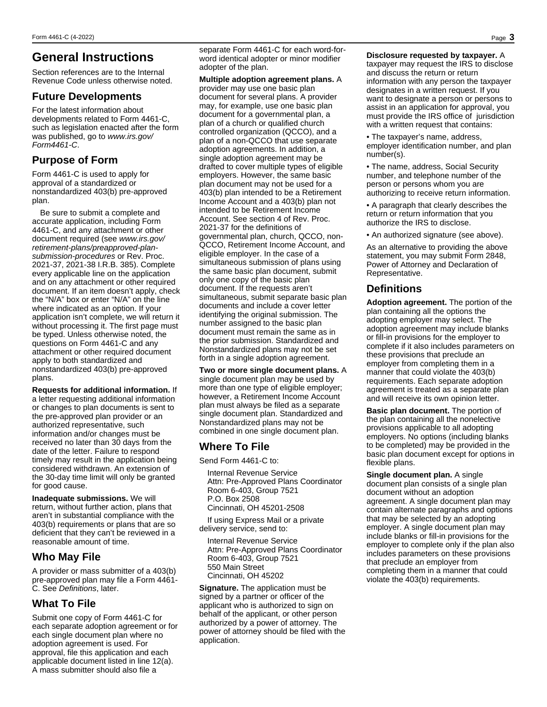# **General Instructions**

Section references are to the Internal Revenue Code unless otherwise noted.

#### **Future Developments**

For the latest information about developments related to Form 4461-C, such as legislation enacted after the form was published, go to *www.irs.gov/ Form4461-C*.

### **Purpose of Form**

Form 4461-C is used to apply for approval of a standardized or nonstandardized 403(b) pre-approved plan.

Be sure to submit a complete and accurate application, including Form 4461-C, and any attachment or other document required (see *www.irs.gov/ retirement-plans/preapproved-plansubmission-procedures* or Rev. Proc. 2021-37, 2021-38 I.R.B. 385). Complete every applicable line on the application and on any attachment or other required document. If an item doesn't apply, check the "N/A" box or enter "N/A" on the line where indicated as an option. If your application isn't complete, we will return it without processing it. The first page must be typed. Unless otherwise noted, the questions on Form 4461-C and any attachment or other required document apply to both standardized and nonstandardized 403(b) pre-approved plans.

**Requests for additional information.** If a letter requesting additional information or changes to plan documents is sent to the pre-approved plan provider or an authorized representative, such information and/or changes must be received no later than 30 days from the date of the letter. Failure to respond timely may result in the application being considered withdrawn. An extension of the 30-day time limit will only be granted for good cause.

**Inadequate submissions.** We will return, without further action, plans that aren't in substantial compliance with the 403(b) requirements or plans that are so deficient that they can't be reviewed in a reasonable amount of time.

### **Who May File**

A provider or mass submitter of a 403(b) pre-approved plan may file a Form 4461- C. See *Definitions*, later.

### **What To File**

Submit one copy of Form 4461-C for each separate adoption agreement or for each single document plan where no adoption agreement is used. For approval, file this application and each applicable document listed in line 12(a). A mass submitter should also file a

separate Form 4461-C for each word-forword identical adopter or minor modifier adopter of the plan.

**Multiple adoption agreement plans.** A provider may use one basic plan document for several plans. A provider may, for example, use one basic plan document for a governmental plan, a plan of a church or qualified church controlled organization (QCCO), and a plan of a non-QCCO that use separate adoption agreements. In addition, a single adoption agreement may be drafted to cover multiple types of eligible employers. However, the same basic plan document may not be used for a 403(b) plan intended to be a Retirement Income Account and a 403(b) plan not intended to be Retirement Income Account. See section 4 of Rev. Proc. 2021-37 for the definitions of governmental plan, church, QCCO, non-QCCO, Retirement Income Account, and eligible employer. In the case of a simultaneous submission of plans using the same basic plan document, submit only one copy of the basic plan document. If the requests aren't simultaneous, submit separate basic plan documents and include a cover letter identifying the original submission. The number assigned to the basic plan document must remain the same as in the prior submission. Standardized and Nonstandardized plans may not be set forth in a single adoption agreement.

**Two or more single document plans.** A single document plan may be used by more than one type of eligible employer; however, a Retirement Income Account plan must always be filed as a separate single document plan. Standardized and Nonstandardized plans may not be combined in one single document plan.

### **Where To File**

Send Form 4461-C to:

Internal Revenue Service Attn: Pre-Approved Plans Coordinator Room 6-403, Group 7521 P.O. Box 2508 Cincinnati, OH 45201-2508

If using Express Mail or a private delivery service, send to:

Internal Revenue Service Attn: Pre-Approved Plans Coordinator Room 6-403, Group 7521 550 Main Street Cincinnati, OH 45202

**Signature.** The application must be signed by a partner or officer of the applicant who is authorized to sign on behalf of the applicant, or other person authorized by a power of attorney. The power of attorney should be filed with the application.

**Disclosure requested by taxpayer.** A taxpayer may request the IRS to disclose and discuss the return or return information with any person the taxpayer designates in a written request. If you want to designate a person or persons to assist in an application for approval, you must provide the IRS office of jurisdiction

• The taxpayer's name, address, employer identification number, and plan number(s).

with a written request that contains:

• The name, address, Social Security number, and telephone number of the person or persons whom you are authorizing to receive return information.

• A paragraph that clearly describes the return or return information that you authorize the IRS to disclose.

• An authorized signature (see above).

As an alternative to providing the above statement, you may submit Form 2848, Power of Attorney and Declaration of Representative.

## **Definitions**

**Adoption agreement.** The portion of the plan containing all the options the adopting employer may select. The adoption agreement may include blanks or fill-in provisions for the employer to complete if it also includes parameters on these provisions that preclude an employer from completing them in a manner that could violate the 403(b) requirements. Each separate adoption agreement is treated as a separate plan and will receive its own opinion letter.

**Basic plan document.** The portion of the plan containing all the nonelective provisions applicable to all adopting employers. No options (including blanks to be completed) may be provided in the basic plan document except for options in flexible plans.

**Single document plan.** A single document plan consists of a single plan document without an adoption agreement. A single document plan may contain alternate paragraphs and options that may be selected by an adopting employer. A single document plan may include blanks or fill-in provisions for the employer to complete only if the plan also includes parameters on these provisions that preclude an employer from completing them in a manner that could violate the 403(b) requirements.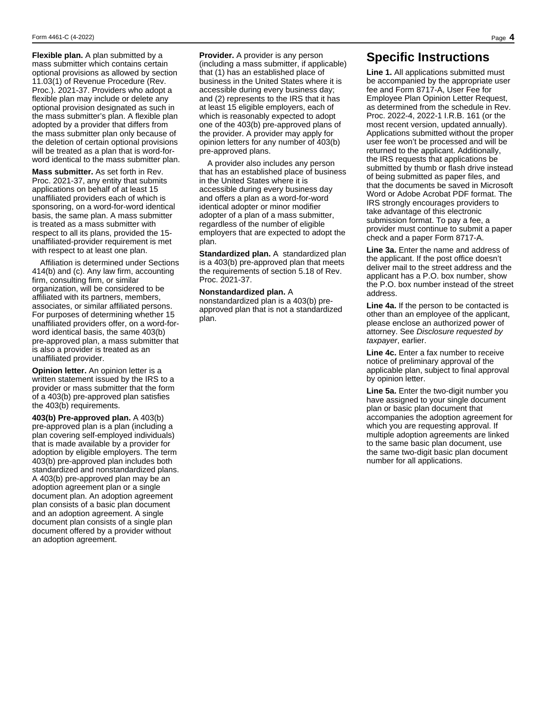**Flexible plan.** A plan submitted by a mass submitter which contains certain optional provisions as allowed by section 11.03(1) of Revenue Procedure (Rev. Proc.). 2021-37. Providers who adopt a flexible plan may include or delete any optional provision designated as such in the mass submitter's plan. A flexible plan adopted by a provider that differs from the mass submitter plan only because of the deletion of certain optional provisions will be treated as a plan that is word-forword identical to the mass submitter plan.

**Mass submitter.** As set forth in Rev. Proc. 2021-37, any entity that submits applications on behalf of at least 15 unaffiliated providers each of which is sponsoring, on a word-for-word identical basis, the same plan. A mass submitter is treated as a mass submitter with respect to all its plans, provided the 15 unaffiliated-provider requirement is met with respect to at least one plan.

Affiliation is determined under Sections 414(b) and (c). Any law firm, accounting firm, consulting firm, or similar organization, will be considered to be affiliated with its partners, members, associates, or similar affiliated persons. For purposes of determining whether 15 unaffiliated providers offer, on a word-forword identical basis, the same 403(b) pre-approved plan, a mass submitter that is also a provider is treated as an unaffiliated provider.

**Opinion letter.** An opinion letter is a written statement issued by the IRS to a provider or mass submitter that the form of a 403(b) pre-approved plan satisfies the 403(b) requirements.

**403(b) Pre-approved plan.** A 403(b) pre-approved plan is a plan (including a plan covering self-employed individuals) that is made available by a provider for adoption by eligible employers. The term 403(b) pre-approved plan includes both standardized and nonstandardized plans. A 403(b) pre-approved plan may be an adoption agreement plan or a single document plan. An adoption agreement plan consists of a basic plan document and an adoption agreement. A single document plan consists of a single plan document offered by a provider without an adoption agreement.

**Provider.** A provider is any person (including a mass submitter, if applicable) that (1) has an established place of business in the United States where it is accessible during every business day; and (2) represents to the IRS that it has at least 15 eligible employers, each of which is reasonably expected to adopt one of the 403(b) pre-approved plans of the provider. A provider may apply for opinion letters for any number of 403(b) pre-approved plans.

A provider also includes any person that has an established place of business in the United States where it is accessible during every business day and offers a plan as a word-for-word identical adopter or minor modifier adopter of a plan of a mass submitter, regardless of the number of eligible employers that are expected to adopt the plan.

**Standardized plan.** A standardized plan is a 403(b) pre-approved plan that meets the requirements of section 5.18 of Rev. Proc. 2021-37.

**Nonstandardized plan.** A nonstandardized plan is a 403(b) preapproved plan that is not a standardized plan.

#### **Specific Instructions**

**Line 1.** All applications submitted must be accompanied by the appropriate user fee and Form 8717-A, User Fee for Employee Plan Opinion Letter Request, as determined from the schedule in Rev. Proc. 2022-4, 2022-1 I.R.B. 161 (or the most recent version, updated annually). Applications submitted without the proper user fee won't be processed and will be returned to the applicant. Additionally, the IRS requests that applications be submitted by thumb or flash drive instead of being submitted as paper files, and that the documents be saved in Microsoft Word or Adobe Acrobat PDF format. The IRS strongly encourages providers to take advantage of this electronic submission format. To pay a fee, a provider must continue to submit a paper check and a paper Form 8717-A.

**Line 3a.** Enter the name and address of the applicant. If the post office doesn't deliver mail to the street address and the applicant has a P.O. box number, show the P.O. box number instead of the street address.

**Line 4a.** If the person to be contacted is other than an employee of the applicant, please enclose an authorized power of attorney. See *Disclosure requested by taxpayer*, earlier.

**Line 4c.** Enter a fax number to receive notice of preliminary approval of the applicable plan, subject to final approval by opinion letter.

**Line 5a.** Enter the two-digit number you have assigned to your single document plan or basic plan document that accompanies the adoption agreement for which you are requesting approval. If multiple adoption agreements are linked to the same basic plan document, use the same two-digit basic plan document number for all applications.